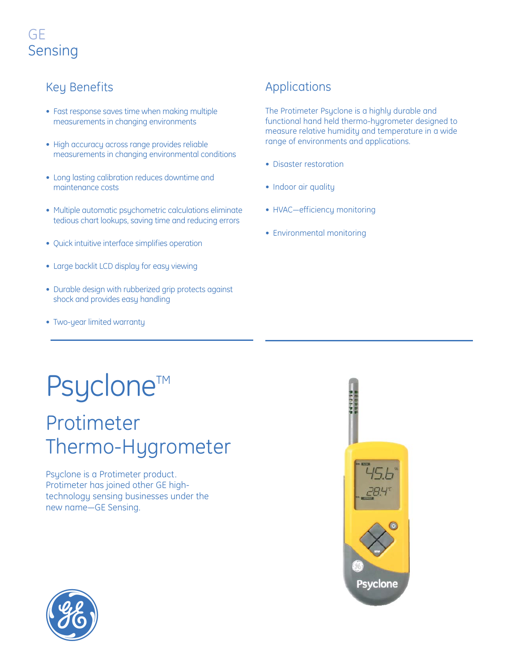### GE Sensing

#### Key Benefits

- Fast response saves time when making multiple measurements in changing environments
- High accuracy across range provides reliable measurements in changing environmental conditions
- Long lasting calibration reduces downtime and maintenance costs
- Multiple automatic psychometric calculations eliminate tedious chart lookups, saving time and reducing errors
- Quick intuitive interface simplifies operation
- Large backlit LCD display for easy viewing
- Durable design with rubberized grip protects against shock and provides easy handling
- Two-year limited warranty

#### Applications

The Protimeter Psyclone is a highly durable and functional hand held thermo-hygrometer designed to measure relative humidity and temperature in a wide range of environments and applications.

- Disaster restoration
- Indoor air quality
- HVAC—efficiency monitoring
- Environmental monitoring

## Psyclone<sup>™</sup>

### Protimeter Thermo-Hygrometer

Psyclone is a Protimeter product. Protimeter has joined other GE hightechnology sensing businesses under the new name—GE Sensing.



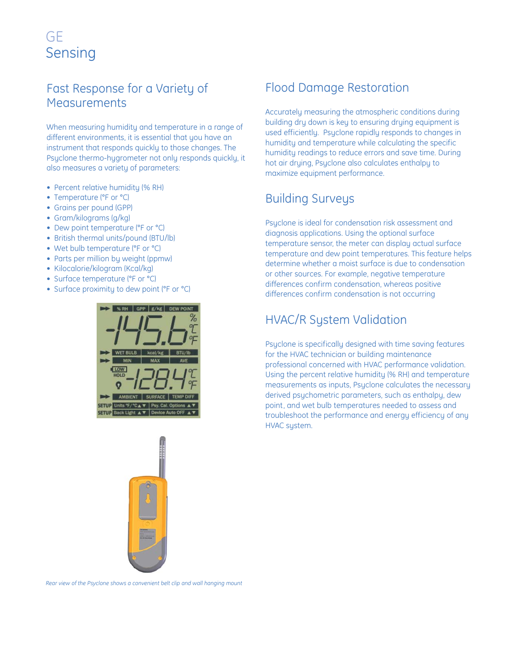#### GE Sensing

#### Fast Response for a Variety of **Measurements**

When measuring humidity and temperature in a range of different environments, it is essential that you have an instrument that responds quickly to those changes. The Psyclone thermo-hygrometer not only responds quickly, it also measures a variety of parameters:

- Percent relative humidity (% RH)
- Temperature (°F or °C)
- Grains per pound (GPP)
- Gram/kilograms (g/kg)
- Dew point temperature (°F or °C)
- British thermal units/pound (BTU/lb)
- Wet bulb temperature (°F or °C)
- Parts per million by weight (ppmw)
- Kilocalorie/kilogram (Kcal/kg)
- Surface temperature (°F or °C)
- Surface proximity to dew point (°F or °C)





#### Flood Damage Restoration

Accurately measuring the atmospheric conditions during building dry down is key to ensuring drying equipment is used efficiently. Psyclone rapidly responds to changes in humidity and temperature while calculating the specific humidity readings to reduce errors and save time. During hot air drying, Psyclone also calculates enthalpy to maximize equipment performance.

#### Building Surveys

Psyclone is ideal for condensation risk assessment and diagnosis applications. Using the optional surface temperature sensor, the meter can display actual surface temperature and dew point temperatures. This feature helps determine whether a moist surface is due to condensation or other sources. For example, negative temperature differences confirm condensation, whereas positive differences confirm condensation is not occurring

#### HVAC/R System Validation

Psyclone is specifically designed with time saving features for the HVAC technician or building maintenance professional concerned with HVAC performance validation. Using the percent relative humidity (% RH) and temperature measurements as inputs, Psyclone calculates the necessary derived psychometric parameters, such as enthalpy, dew point, and wet bulb temperatures needed to assess and troubleshoot the performance and energy efficiency of any HVAC system.

*Rear view of the Psyclone shows a convenient belt clip and wall hanging mount*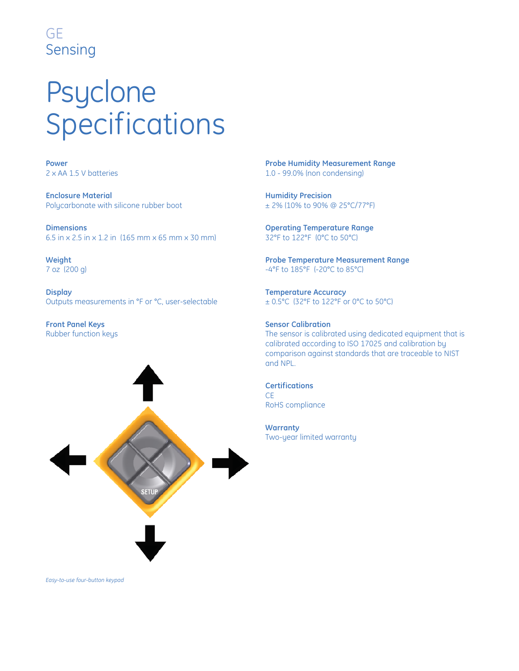#### GE Sensing

# Psyclone Specifications

**Power** 2 x AA 1.5 V batteries

**Enclosure Material** Polycarbonate with silicone rubber boot

**Dimensions** 6.5 in x 2.5 in x 1.2 in (165 mm x 65 mm x 30 mm)

**Weight** 7 oz (200 g)

**Display** Outputs measurements in °F or °C, user-selectable

**Front Panel Keys** Rubber function keys



**Probe Humidity Measurement Range** 1.0 - 99.0% (non condensing)

**Humidity Precision** ± 2% (10% to 90% @ 25°C/77°F)

**Operating Temperature Range** 32°F to 122°F (0°C to 50°C)

**Probe Temperature Measurement Range** -4°F to 185°F (-20°C to 85°C)

**Temperature Accuracy** ± 0.5°C (32°F to 122°F or 0°C to 50°C)

#### **Sensor Calibration** The sensor is calibrated using dedicated equipment that is calibrated according to ISO 17025 and calibration by comparison against standards that are traceable to NIST and NPL.

**Certifications** CE RoHS compliance

**Warranty** Two-year limited warranty

*Easy-to-use four-button keypad*